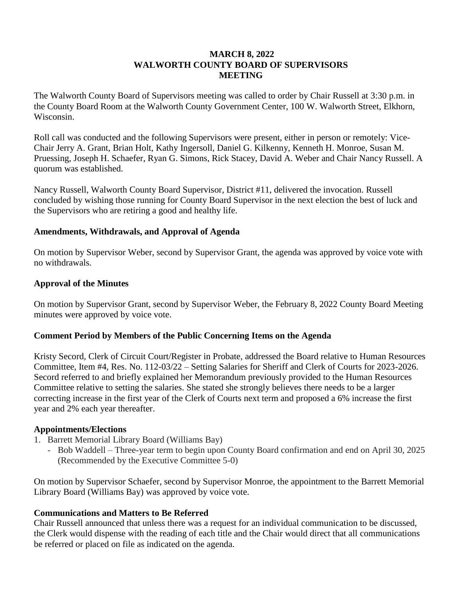### **MARCH 8, 2022 WALWORTH COUNTY BOARD OF SUPERVISORS MEETING**

The Walworth County Board of Supervisors meeting was called to order by Chair Russell at 3:30 p.m. in the County Board Room at the Walworth County Government Center, 100 W. Walworth Street, Elkhorn, Wisconsin.

Roll call was conducted and the following Supervisors were present, either in person or remotely: Vice-Chair Jerry A. Grant, Brian Holt, Kathy Ingersoll, Daniel G. Kilkenny, Kenneth H. Monroe, Susan M. Pruessing, Joseph H. Schaefer, Ryan G. Simons, Rick Stacey, David A. Weber and Chair Nancy Russell. A quorum was established.

Nancy Russell, Walworth County Board Supervisor, District #11, delivered the invocation. Russell concluded by wishing those running for County Board Supervisor in the next election the best of luck and the Supervisors who are retiring a good and healthy life.

### **Amendments, Withdrawals, and Approval of Agenda**

On motion by Supervisor Weber, second by Supervisor Grant, the agenda was approved by voice vote with no withdrawals.

### **Approval of the Minutes**

On motion by Supervisor Grant, second by Supervisor Weber, the February 8, 2022 County Board Meeting minutes were approved by voice vote.

## **Comment Period by Members of the Public Concerning Items on the Agenda**

Kristy Secord, Clerk of Circuit Court/Register in Probate, addressed the Board relative to Human Resources Committee, Item #4, Res. No. 112-03/22 – Setting Salaries for Sheriff and Clerk of Courts for 2023-2026. Secord referred to and briefly explained her Memorandum previously provided to the Human Resources Committee relative to setting the salaries. She stated she strongly believes there needs to be a larger correcting increase in the first year of the Clerk of Courts next term and proposed a 6% increase the first year and 2% each year thereafter.

#### **Appointments/Elections**

- 1. Barrett Memorial Library Board (Williams Bay)
	- Bob Waddell Three-year term to begin upon County Board confirmation and end on April 30, 2025 (Recommended by the Executive Committee 5-0)

On motion by Supervisor Schaefer, second by Supervisor Monroe, the appointment to the Barrett Memorial Library Board (Williams Bay) was approved by voice vote.

## **Communications and Matters to Be Referred**

Chair Russell announced that unless there was a request for an individual communication to be discussed, the Clerk would dispense with the reading of each title and the Chair would direct that all communications be referred or placed on file as indicated on the agenda.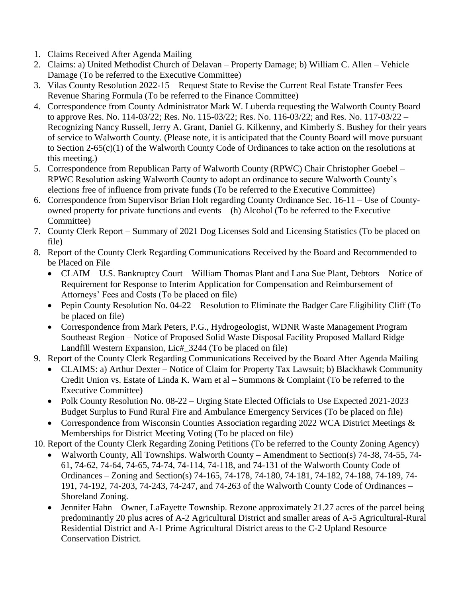- 1. Claims Received After Agenda Mailing
- 2. Claims: a) United Methodist Church of Delavan Property Damage; b) William C. Allen Vehicle Damage (To be referred to the Executive Committee)
- 3. Vilas County Resolution 2022-15 Request State to Revise the Current Real Estate Transfer Fees Revenue Sharing Formula (To be referred to the Finance Committee)
- 4. Correspondence from County Administrator Mark W. Luberda requesting the Walworth County Board to approve Res. No. 114-03/22; Res. No. 115-03/22; Res. No. 116-03/22; and Res. No. 117-03/22 – Recognizing Nancy Russell, Jerry A. Grant, Daniel G. Kilkenny, and Kimberly S. Bushey for their years of service to Walworth County. (Please note, it is anticipated that the County Board will move pursuant to Section 2-65(c)(1) of the Walworth County Code of Ordinances to take action on the resolutions at this meeting.)
- 5. Correspondence from Republican Party of Walworth County (RPWC) Chair Christopher Goebel RPWC Resolution asking Walworth County to adopt an ordinance to secure Walworth County's elections free of influence from private funds (To be referred to the Executive Committee)
- 6. Correspondence from Supervisor Brian Holt regarding County Ordinance Sec. 16-11 Use of Countyowned property for private functions and events – (h) Alcohol (To be referred to the Executive Committee)
- 7. County Clerk Report Summary of 2021 Dog Licenses Sold and Licensing Statistics (To be placed on file)
- 8. Report of the County Clerk Regarding Communications Received by the Board and Recommended to be Placed on File
	- CLAIM U.S. Bankruptcy Court William Thomas Plant and Lana Sue Plant, Debtors Notice of Requirement for Response to Interim Application for Compensation and Reimbursement of Attorneys' Fees and Costs (To be placed on file)
	- Pepin County Resolution No. 04-22 Resolution to Eliminate the Badger Care Eligibility Cliff (To be placed on file)
	- Correspondence from Mark Peters, P.G., Hydrogeologist, WDNR Waste Management Program Southeast Region – Notice of Proposed Solid Waste Disposal Facility Proposed Mallard Ridge Landfill Western Expansion, Lic#\_3244 (To be placed on file)
- 9. Report of the County Clerk Regarding Communications Received by the Board After Agenda Mailing
	- CLAIMS: a) Arthur Dexter Notice of Claim for Property Tax Lawsuit; b) Blackhawk Community Credit Union vs. Estate of Linda K. Warn et al – Summons & Complaint (To be referred to the Executive Committee)
	- Polk County Resolution No. 08-22 Urging State Elected Officials to Use Expected 2021-2023 Budget Surplus to Fund Rural Fire and Ambulance Emergency Services (To be placed on file)
	- Correspondence from Wisconsin Counties Association regarding 2022 WCA District Meetings & Memberships for District Meeting Voting (To be placed on file)

10. Report of the County Clerk Regarding Zoning Petitions (To be referred to the County Zoning Agency)

- Walworth County, All Townships. Walworth County Amendment to Section(s) 74-38, 74-55, 74-61, 74-62, 74-64, 74-65, 74-74, 74-114, 74-118, and 74-131 of the Walworth County Code of Ordinances – Zoning and Section(s) 74-165, 74-178, 74-180, 74-181, 74-182, 74-188, 74-189, 74- 191, 74-192, 74-203, 74-243, 74-247, and 74-263 of the Walworth County Code of Ordinances – Shoreland Zoning.
- Jennifer Hahn Owner, LaFayette Township. Rezone approximately 21.27 acres of the parcel being predominantly 20 plus acres of A-2 Agricultural District and smaller areas of A-5 Agricultural-Rural Residential District and A-1 Prime Agricultural District areas to the C-2 Upland Resource Conservation District.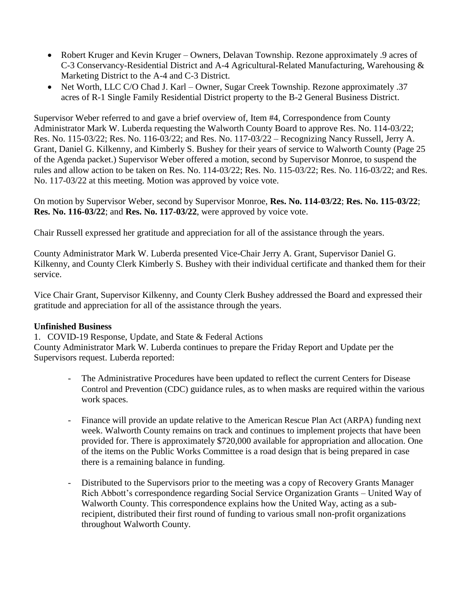- Robert Kruger and Kevin Kruger Owners, Delavan Township. Rezone approximately .9 acres of C-3 Conservancy-Residential District and A-4 Agricultural-Related Manufacturing, Warehousing & Marketing District to the A-4 and C-3 District.
- Net Worth, LLC C/O Chad J. Karl Owner, Sugar Creek Township. Rezone approximately .37 acres of R-1 Single Family Residential District property to the B-2 General Business District.

Supervisor Weber referred to and gave a brief overview of, Item #4, Correspondence from County Administrator Mark W. Luberda requesting the Walworth County Board to approve Res. No. 114-03/22; Res. No. 115-03/22; Res. No. 116-03/22; and Res. No. 117-03/22 – Recognizing Nancy Russell, Jerry A. Grant, Daniel G. Kilkenny, and Kimberly S. Bushey for their years of service to Walworth County (Page 25 of the Agenda packet.) Supervisor Weber offered a motion, second by Supervisor Monroe, to suspend the rules and allow action to be taken on Res. No. 114-03/22; Res. No. 115-03/22; Res. No. 116-03/22; and Res. No. 117-03/22 at this meeting. Motion was approved by voice vote.

On motion by Supervisor Weber, second by Supervisor Monroe, **Res. No. 114-03/22**; **Res. No. 115-03/22**; **Res. No. 116-03/22**; and **Res. No. 117-03/22**, were approved by voice vote.

Chair Russell expressed her gratitude and appreciation for all of the assistance through the years.

County Administrator Mark W. Luberda presented Vice-Chair Jerry A. Grant, Supervisor Daniel G. Kilkenny, and County Clerk Kimberly S. Bushey with their individual certificate and thanked them for their service.

Vice Chair Grant, Supervisor Kilkenny, and County Clerk Bushey addressed the Board and expressed their gratitude and appreciation for all of the assistance through the years.

## **Unfinished Business**

1. COVID-19 Response, Update, and State & Federal Actions

County Administrator Mark W. Luberda continues to prepare the Friday Report and Update per the Supervisors request. Luberda reported:

- The Administrative Procedures have been updated to reflect the current Centers for Disease Control and Prevention (CDC) guidance rules, as to when masks are required within the various work spaces.
- Finance will provide an update relative to the American Rescue Plan Act (ARPA) funding next week. Walworth County remains on track and continues to implement projects that have been provided for. There is approximately \$720,000 available for appropriation and allocation. One of the items on the Public Works Committee is a road design that is being prepared in case there is a remaining balance in funding.
- Distributed to the Supervisors prior to the meeting was a copy of Recovery Grants Manager Rich Abbott's correspondence regarding Social Service Organization Grants – United Way of Walworth County. This correspondence explains how the United Way, acting as a subrecipient, distributed their first round of funding to various small non-profit organizations throughout Walworth County.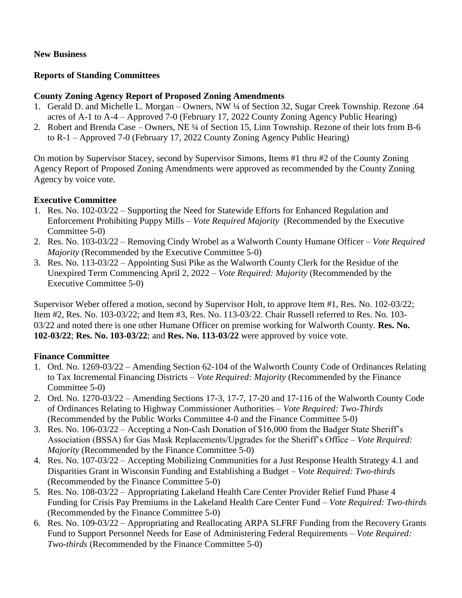## **New Business**

## **Reports of Standing Committees**

## **County Zoning Agency Report of Proposed Zoning Amendments**

- 1. Gerald D. and Michelle L. Morgan Owners, NW ¼ of Section 32, Sugar Creek Township. Rezone .64 acres of A-1 to A-4 – Approved 7-0 (February 17, 2022 County Zoning Agency Public Hearing)
- 2. Robert and Brenda Case Owners, NE ¼ of Section 15, Linn Township. Rezone of their lots from B-6 to R-1 – Approved 7-0 (February 17, 2022 County Zoning Agency Public Hearing)

On motion by Supervisor Stacey, second by Supervisor Simons, Items #1 thru #2 of the County Zoning Agency Report of Proposed Zoning Amendments were approved as recommended by the County Zoning Agency by voice vote.

# **Executive Committee**

- 1. Res. No. 102-03/22 Supporting the Need for Statewide Efforts for Enhanced Regulation and Enforcement Prohibiting Puppy Mills – *Vote Required Majority* (Recommended by the Executive Committee 5-0)
- 2. Res. No. 103-03/22 Removing Cindy Wrobel as a Walworth County Humane Officer *Vote Required Majority* (Recommended by the Executive Committee 5-0)
- 3. Res. No. 113-03/22 Appointing Susi Pike as the Walworth County Clerk for the Residue of the Unexpired Term Commencing April 2, 2022 – *Vote Required: Majority* (Recommended by the Executive Committee 5-0)

Supervisor Weber offered a motion, second by Supervisor Holt, to approve Item #1, Res. No. 102-03/22; Item #2, Res. No. 103-03/22; and Item #3, Res. No. 113-03/22. Chair Russell referred to Res. No. 103- 03/22 and noted there is one other Humane Officer on premise working for Walworth County. **Res. No. 102-03/22**; **Res. No. 103-03/22**; and **Res. No. 113-03/22** were approved by voice vote.

# **Finance Committee**

- 1. Ord. No. 1269-03/22 Amending Section 62-104 of the Walworth County Code of Ordinances Relating to Tax Incremental Financing Districts – *Vote Required: Majority* (Recommended by the Finance Committee 5-0)
- 2. Ord. No. 1270-03/22 Amending Sections 17-3, 17-7, 17-20 and 17-116 of the Walworth County Code of Ordinances Relating to Highway Commissioner Authorities – *Vote Required: Two-Thirds*  (Recommended by the Public Works Committee 4-0 and the Finance Committee 5-0)
- 3. Res. No. 106-03/22 Accepting a Non-Cash Donation of \$16,000 from the Badger State Sheriff's Association (BSSA) for Gas Mask Replacements/Upgrades for the Sheriff's Office – *Vote Required: Majority* (Recommended by the Finance Committee 5-0)
- 4. Res. No. 107-03/22 Accepting Mobilizing Communities for a Just Response Health Strategy 4.1 and Disparities Grant in Wisconsin Funding and Establishing a Budget – *Vote Required: Two-thirds* (Recommended by the Finance Committee 5-0)
- 5. Res. No. 108-03/22 Appropriating Lakeland Health Care Center Provider Relief Fund Phase 4 Funding for Crisis Pay Premiums in the Lakeland Health Care Center Fund – *Vote Required: Two-thirds* (Recommended by the Finance Committee 5-0)
- 6. Res. No. 109-03/22 Appropriating and Reallocating ARPA SLFRF Funding from the Recovery Grants Fund to Support Personnel Needs for Ease of Administering Federal Requirements – *Vote Required: Two-thirds* (Recommended by the Finance Committee 5-0)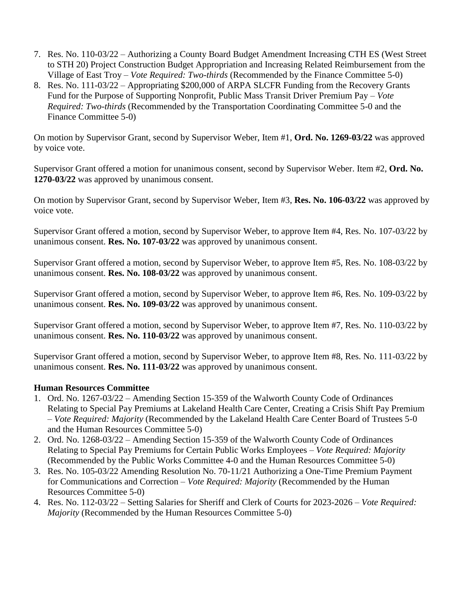- 7. Res. No. 110-03/22 Authorizing a County Board Budget Amendment Increasing CTH ES (West Street to STH 20) Project Construction Budget Appropriation and Increasing Related Reimbursement from the Village of East Troy – *Vote Required: Two-thirds* (Recommended by the Finance Committee 5-0)
- 8. Res. No. 111-03/22 Appropriating \$200,000 of ARPA SLCFR Funding from the Recovery Grants Fund for the Purpose of Supporting Nonprofit, Public Mass Transit Driver Premium Pay – *Vote Required: Two-thirds* (Recommended by the Transportation Coordinating Committee 5-0 and the Finance Committee 5-0)

On motion by Supervisor Grant, second by Supervisor Weber, Item #1, **Ord. No. 1269-03/22** was approved by voice vote.

Supervisor Grant offered a motion for unanimous consent, second by Supervisor Weber. Item #2, **Ord. No. 1270-03/22** was approved by unanimous consent.

On motion by Supervisor Grant, second by Supervisor Weber, Item #3, **Res. No. 106-03/22** was approved by voice vote.

Supervisor Grant offered a motion, second by Supervisor Weber, to approve Item #4, Res. No. 107-03/22 by unanimous consent. **Res. No. 107-03/22** was approved by unanimous consent.

Supervisor Grant offered a motion, second by Supervisor Weber, to approve Item #5, Res. No. 108-03/22 by unanimous consent. **Res. No. 108-03/22** was approved by unanimous consent.

Supervisor Grant offered a motion, second by Supervisor Weber, to approve Item #6, Res. No. 109-03/22 by unanimous consent. **Res. No. 109-03/22** was approved by unanimous consent.

Supervisor Grant offered a motion, second by Supervisor Weber, to approve Item #7, Res. No. 110-03/22 by unanimous consent. **Res. No. 110-03/22** was approved by unanimous consent.

Supervisor Grant offered a motion, second by Supervisor Weber, to approve Item #8, Res. No. 111-03/22 by unanimous consent. **Res. No. 111-03/22** was approved by unanimous consent.

## **Human Resources Committee**

- 1. Ord. No. 1267-03/22 Amending Section 15-359 of the Walworth County Code of Ordinances Relating to Special Pay Premiums at Lakeland Health Care Center, Creating a Crisis Shift Pay Premium – *Vote Required: Majority* (Recommended by the Lakeland Health Care Center Board of Trustees 5-0 and the Human Resources Committee 5-0)
- 2. Ord. No. 1268-03/22 Amending Section 15-359 of the Walworth County Code of Ordinances Relating to Special Pay Premiums for Certain Public Works Employees – *Vote Required: Majority* (Recommended by the Public Works Committee 4-0 and the Human Resources Committee 5-0)
- 3. Res. No. 105-03/22 Amending Resolution No. 70-11/21 Authorizing a One-Time Premium Payment for Communications and Correction – *Vote Required: Majority* (Recommended by the Human Resources Committee 5-0)
- 4. Res. No. 112-03/22 Setting Salaries for Sheriff and Clerk of Courts for 2023-2026 *Vote Required: Majority* (Recommended by the Human Resources Committee 5-0)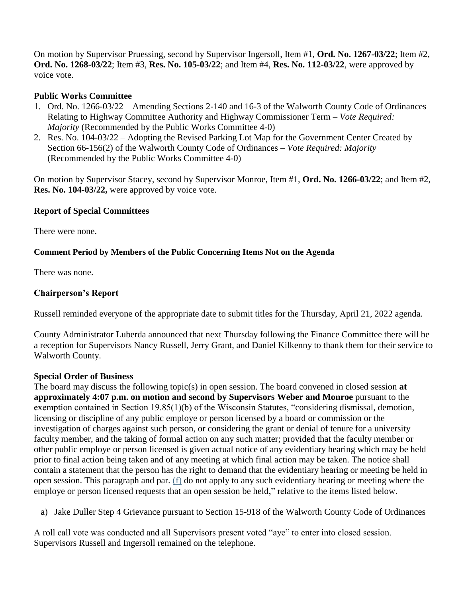On motion by Supervisor Pruessing, second by Supervisor Ingersoll, Item #1, **Ord. No. 1267-03/22**; Item #2, **Ord. No. 1268-03/22**; Item #3, **Res. No. 105-03/22**; and Item #4, **Res. No. 112-03/22**, were approved by voice vote.

## **Public Works Committee**

- 1. Ord. No. 1266-03/22 Amending Sections 2-140 and 16-3 of the Walworth County Code of Ordinances Relating to Highway Committee Authority and Highway Commissioner Term – *Vote Required: Majority* (Recommended by the Public Works Committee 4-0)
- 2. Res. No. 104-03/22 Adopting the Revised Parking Lot Map for the Government Center Created by Section 66-156(2) of the Walworth County Code of Ordinances – *Vote Required: Majority* (Recommended by the Public Works Committee 4-0)

On motion by Supervisor Stacey, second by Supervisor Monroe, Item #1, **Ord. No. 1266-03/22**; and Item #2, **Res. No. 104-03/22,** were approved by voice vote.

### **Report of Special Committees**

There were none.

### **Comment Period by Members of the Public Concerning Items Not on the Agenda**

There was none.

### **Chairperson's Report**

Russell reminded everyone of the appropriate date to submit titles for the Thursday, April 21, 2022 agenda.

County Administrator Luberda announced that next Thursday following the Finance Committee there will be a reception for Supervisors Nancy Russell, Jerry Grant, and Daniel Kilkenny to thank them for their service to Walworth County.

#### **Special Order of Business**

The board may discuss the following topic(s) in open session. The board convened in closed session **at approximately 4:07 p.m. on motion and second by Supervisors Weber and Monroe** pursuant to the exemption contained in Section 19.85(1)(b) of the Wisconsin Statutes, "considering dismissal, demotion, licensing or discipline of any public employe or person licensed by a board or commission or the investigation of charges against such person, or considering the grant or denial of tenure for a university faculty member, and the taking of formal action on any such matter; provided that the faculty member or other public employe or person licensed is given actual notice of any evidentiary hearing which may be held prior to final action being taken and of any meeting at which final action may be taken. The notice shall contain a statement that the person has the right to demand that the evidentiary hearing or meeting be held in open session. This paragraph and par. [\(f\)](https://docs.legis.wisconsin.gov/document/statutes/1995/19.85(1)(f)) do not apply to any such evidentiary hearing or meeting where the employe or person licensed requests that an open session be held," relative to the items listed below.

a) Jake Duller Step 4 Grievance pursuant to Section 15-918 of the Walworth County Code of Ordinances

A roll call vote was conducted and all Supervisors present voted "aye" to enter into closed session. Supervisors Russell and Ingersoll remained on the telephone.